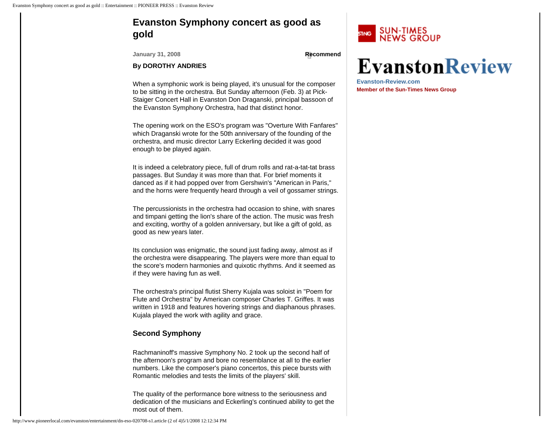# <span id="page-0-0"></span>**Evanston Symphony concert as good as gold**

**January 31, 2008 [Recommend](#page-0-0)** 

### **By DOROTHY ANDRIES**

When a symphonic work is being played, it's unusual for the composer to be sitting in the orchestra. But Sunday afternoon (Feb. 3) at Pick-Staiger Concert Hall in Evanston Don Draganski, principal bassoon of the Evanston Symphony Orchestra, had that distinct honor.

The opening work on the ESO's program was "Overture With Fanfares" which Draganski wrote for the 50th anniversary of the founding of the orchestra, and music director Larry Eckerling decided it was good enough to be played again.

It is indeed a celebratory piece, full of drum rolls and rat-a-tat-tat brass passages. But Sunday it was more than that. For brief moments it danced as if it had popped over from Gershwin's "American in Paris," and the horns were frequently heard through a veil of gossamer strings.

The percussionists in the orchestra had occasion to shine, with snares and timpani getting the lion's share of the action. The music was fresh and exciting, worthy of a golden anniversary, but like a gift of gold, as good as new years later.

Its conclusion was enigmatic, the sound just fading away, almost as if the orchestra were disappearing. The players were more than equal to the score's modern harmonies and quixotic rhythms. And it seemed as if they were having fun as well.

The orchestra's principal flutist Sherry Kujala was soloist in "Poem for Flute and Orchestra" by American composer Charles T. Griffes. It was written in 1918 and features hovering strings and diaphanous phrases. Kujala played the work with agility and grace.

## **Second Symphony**

Rachmaninoff's massive Symphony No. 2 took up the second half of the afternoon's program and bore no resemblance at all to the earlier numbers. Like the composer's piano concertos, this piece bursts with Romantic melodies and tests the limits of the players' skill.

The quality of the performance bore witness to the seriousness and dedication of the musicians and Eckerling's continued ability to get the most out of them.



# **EvanstonReview**

**Evanston-Review.com Me[mber of the Sun-Times News Group](http://anad.tacoda.net/ads/ad12092bj-map.cgi/SZ=300X250A/V=2.1S/BRC=82259/BCPG41211.65305.74725/)**